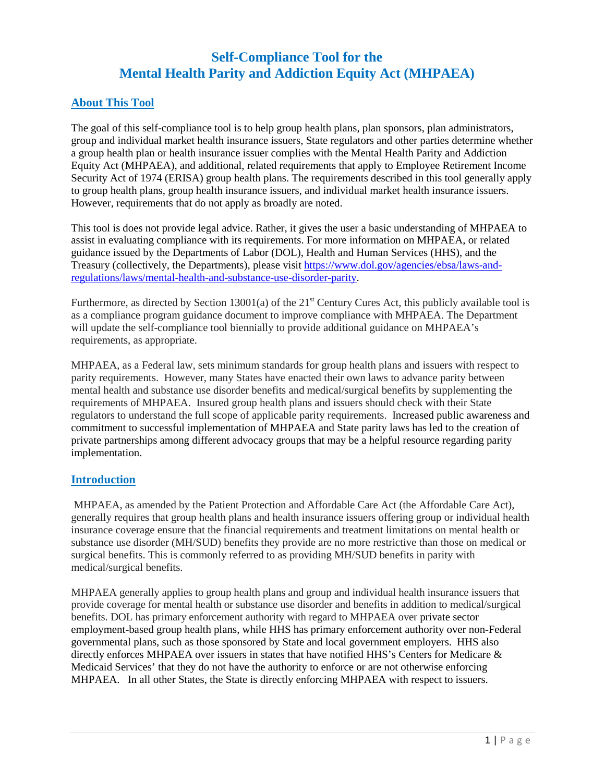# **Self-Compliance Tool for the Mental Health Parity and Addiction Equity Act (MHPAEA)**

### **About This Tool**

The goal of this self-compliance tool is to help group health plans, plan sponsors, plan administrators, group and individual market health insurance issuers, State regulators and other parties determine whether a group health plan or health insurance issuer complies with the Mental Health Parity and Addiction Equity Act (MHPAEA), and additional, related requirements that apply to Employee Retirement Income Security Act of 1974 (ERISA) group health plans. The requirements described in this tool generally apply to group health plans, group health insurance issuers, and individual market health insurance issuers. However, requirements that do not apply as broadly are noted.

This tool is does not provide legal advice. Rather, it gives the user a basic understanding of MHPAEA to assist in evaluating compliance with its requirements. For more information on MHPAEA, or related guidance issued by the Departments of Labor (DOL), Health and Human Services (HHS), and the Treasury (collectively, the Departments), please visit [https://www.dol.gov/agencies/ebsa/laws-and](https://www.dol.gov/agencies/ebsa/laws-and-regulations/laws/mental-health-and-substance-use-disorder-parity)[regulations/laws/mental-health-and-substance-use-disorder-parity.](https://www.dol.gov/agencies/ebsa/laws-and-regulations/laws/mental-health-and-substance-use-disorder-parity)

Furthermore, as directed by Section 13001(a) of the  $21<sup>st</sup>$  Century Cures Act, this publicly available tool is as a compliance program guidance document to improve compliance with MHPAEA. The Department will update the self-compliance tool biennially to provide additional guidance on MHPAEA's requirements, as appropriate.

MHPAEA, as a Federal law, sets minimum standards for group health plans and issuers with respect to parity requirements. However, many States have enacted their own laws to advance parity between mental health and substance use disorder benefits and medical/surgical benefits by supplementing the requirements of MHPAEA. Insured group health plans and issuers should check with their State regulators to understand the full scope of applicable parity requirements. Increased public awareness and commitment to successful implementation of MHPAEA and State parity laws has led to the creation of private partnerships among different advocacy groups that may be a helpful resource regarding parity implementation.

### **Introduction**

MHPAEA, as amended by the Patient Protection and Affordable Care Act (the Affordable Care Act), generally requires that group health plans and health insurance issuers offering group or individual health insurance coverage ensure that the financial requirements and treatment limitations on mental health or substance use disorder (MH/SUD) benefits they provide are no more restrictive than those on medical or surgical benefits. This is commonly referred to as providing MH/SUD benefits in parity with medical/surgical benefits.

MHPAEA generally applies to group health plans and group and individual health insurance issuers that provide coverage for mental health or substance use disorder and benefits in addition to medical/surgical benefits. DOL has primary enforcement authority with regard to MHPAEA over private sector employment-based group health plans, while HHS has primary enforcement authority over non-Federal governmental plans, such as those sponsored by State and local government employers. HHS also directly enforces MHPAEA over issuers in states that have notified HHS's Centers for Medicare & Medicaid Services' that they do not have the authority to enforce or are not otherwise enforcing MHPAEA. In all other States, the State is directly enforcing MHPAEA with respect to issuers.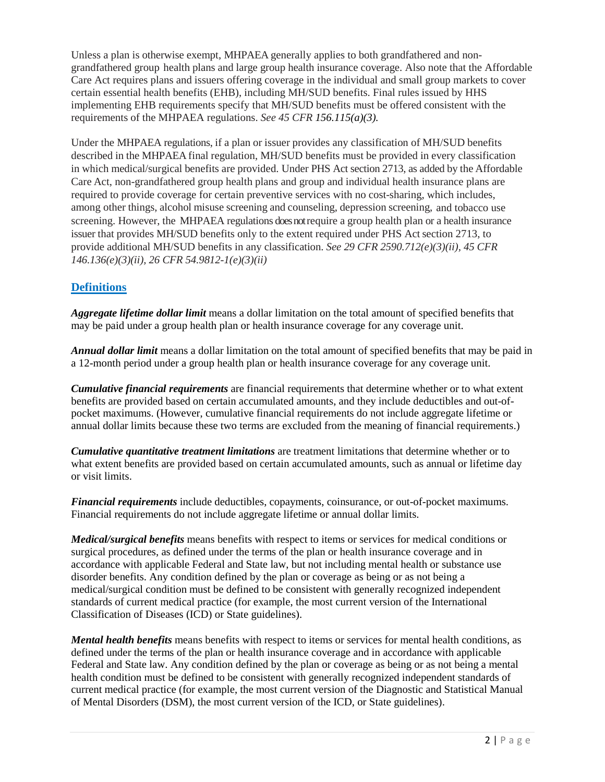Unless a plan is otherwise exempt, MHPAEA generally applies to both grandfathered and nongrandfathered group health plans and large group health insurance coverage. Also note that the Affordable Care Act requires plans and issuers offering coverage in the individual and small group markets to cover certain essential health benefits (EHB), including MH/SUD benefits. Final rules issued by HHS implementing EHB requirements specify that MH/SUD benefits must be offered consistent with the requirements of the MHPAEA regulations. *See 45 CFR 156.115(a)(3).*

Under the MHPAEA regulations, if a plan or issuer provides any classification of MH/SUD benefits described in the MHPAEA final regulation, MH/SUD benefits must be provided in every classification in which medical/surgical benefits are provided. Under PHS Act section 2713, as added by the Affordable Care Act, non-grandfathered group health plans and group and individual health insurance plans are required to provide coverage for certain preventive services with no cost-sharing, which includes, among other things, alcohol misuse screening and counseling, depression screening, and tobacco use screening. However, the MHPAEA regulations does notrequire a group health plan or a health insurance issuer that provides MH/SUD benefits only to the extent required under PHS Act section 2713, to provide additional MH/SUD benefits in any classification. *See 29 CFR 2590.712(e)(3)(ii), 45 CFR 146.136(e)(3)(ii), 26 CFR 54.9812-1(e)(3)(ii)*

# **Definitions**

*Aggregate lifetime dollar limit* means a dollar limitation on the total amount of specified benefits that may be paid under a group health plan or health insurance coverage for any coverage unit.

*Annual dollar limit* means a dollar limitation on the total amount of specified benefits that may be paid in a 12-month period under a group health plan or health insurance coverage for any coverage unit.

*Cumulative financial requirements* are financial requirements that determine whether or to what extent benefits are provided based on certain accumulated amounts, and they include deductibles and out-ofpocket maximums. (However, cumulative financial requirements do not include aggregate lifetime or annual dollar limits because these two terms are excluded from the meaning of financial requirements.)

*Cumulative quantitative treatment limitations* are treatment limitations that determine whether or to what extent benefits are provided based on certain accumulated amounts, such as annual or lifetime day or visit limits.

*Financial requirements* include deductibles, copayments, coinsurance, or out-of-pocket maximums. Financial requirements do not include aggregate lifetime or annual dollar limits.

*Medical/surgical benefits* means benefits with respect to items or services for medical conditions or surgical procedures, as defined under the terms of the plan or health insurance coverage and in accordance with applicable Federal and State law, but not including mental health or substance use disorder benefits. Any condition defined by the plan or coverage as being or as not being a medical/surgical condition must be defined to be consistent with generally recognized independent standards of current medical practice (for example, the most current version of the International Classification of Diseases (ICD) or State guidelines).

*Mental health benefits* means benefits with respect to items or services for mental health conditions, as defined under the terms of the plan or health insurance coverage and in accordance with applicable Federal and State law. Any condition defined by the plan or coverage as being or as not being a mental health condition must be defined to be consistent with generally recognized independent standards of current medical practice (for example, the most current version of the Diagnostic and Statistical Manual of Mental Disorders (DSM), the most current version of the ICD, or State guidelines).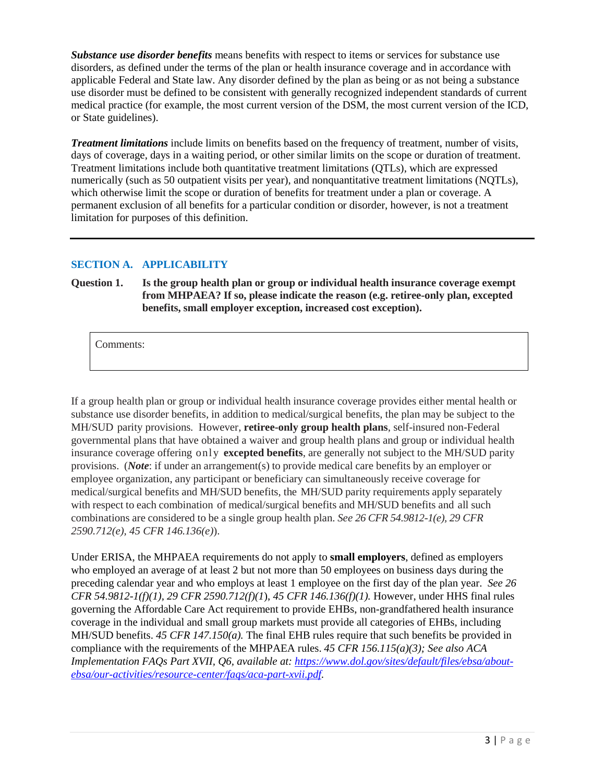*Substance use disorder benefits* means benefits with respect to items or services for substance use disorders, as defined under the terms of the plan or health insurance coverage and in accordance with applicable Federal and State law. Any disorder defined by the plan as being or as not being a substance use disorder must be defined to be consistent with generally recognized independent standards of current medical practice (for example, the most current version of the DSM, the most current version of the ICD, or State guidelines).

*Treatment limitations* include limits on benefits based on the frequency of treatment, number of visits, days of coverage, days in a waiting period, or other similar limits on the scope or duration of treatment. Treatment limitations include both quantitative treatment limitations (QTLs), which are expressed numerically (such as 50 outpatient visits per year), and nonquantitative treatment limitations (NQTLs), which otherwise limit the scope or duration of benefits for treatment under a plan or coverage. A permanent exclusion of all benefits for a particular condition or disorder, however, is not a treatment limitation for purposes of this definition.

### **SECTION A. APPLICABILITY**

**Question 1. Is the group health plan or group or individual health insurance coverage exempt from MHPAEA? If so, please indicate the reason (e.g. retiree-only plan, excepted benefits, small employer exception, increased cost exception).** 

Comments:

If a group health plan or group or individual health insurance coverage provides either mental health or substance use disorder benefits, in addition to medical/surgical benefits, the plan may be subject to the MH/SUD parity provisions. However, **retiree-only group health plans**, self-insured non-Federal governmental plans that have obtained a waiver and group health plans and group or individual health insurance coverage offering only **excepted benefits**, are generally not subject to the MH/SUD parity provisions. (*Note*: if under an arrangement(s) to provide medical care benefits by an employer or employee organization, any participant or beneficiary can simultaneously receive coverage for medical/surgical benefits and MH/SUD benefits, the MH/SUD parity requirements apply separately with respect to each combination of medical/surgical benefits and MH/SUD benefits and all such combinations are considered to be a single group health plan. *See 26 CFR 54.9812-1(e), 29 CFR 2590.712(e), 45 CFR 146.136(e)*).

Under ERISA, the MHPAEA requirements do not apply to **small employers**, defined as employers who employed an average of at least 2 but not more than 50 employees on business days during the preceding calendar year and who employs at least 1 employee on the first day of the plan year. *See 26 CFR 54.9812-1(f)(1), 29 CFR 2590.712(f)(1*), *45 CFR 146.136(f)(1).* However, under HHS final rules governing the Affordable Care Act requirement to provide EHBs, non-grandfathered health insurance coverage in the individual and small group markets must provide all categories of EHBs, including MH/SUD benefits. *45 CFR 147.150(a).* The final EHB rules require that such benefits be provided in compliance with the requirements of the MHPAEA rules. *45 CFR 156.115(a)(3); See also ACA Implementation FAQs Part XVII, Q6, available at: [https://www.dol.gov/sites/default/files/ebsa/about](https://www.dol.gov/sites/default/files/ebsa/about-ebsa/our-activities/resource-center/faqs/aca-part-xvii.pdf)[ebsa/our-activities/resource-center/faqs/aca-part-xvii.pdf.](https://www.dol.gov/sites/default/files/ebsa/about-ebsa/our-activities/resource-center/faqs/aca-part-xvii.pdf)*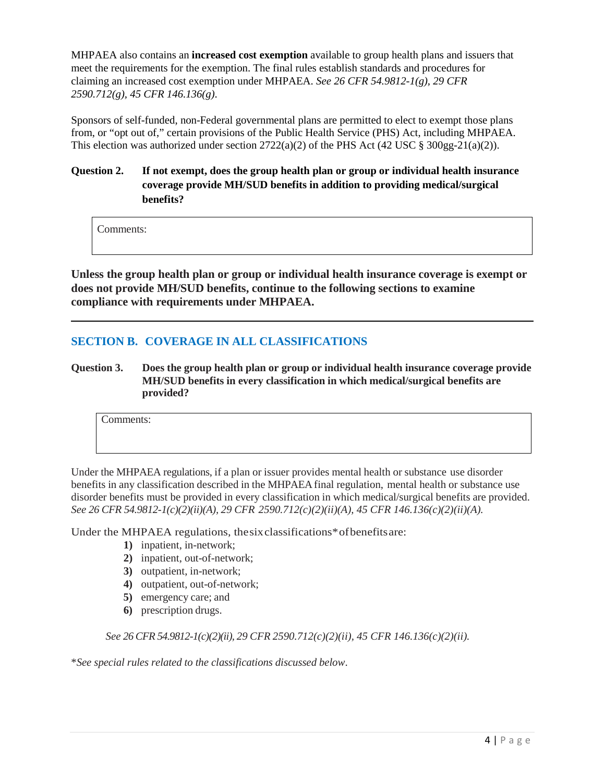MHPAEA also contains an **increased cost exemption** available to group health plans and issuers that meet the requirements for the exemption. The final rules establish standards and procedures for claiming an increased cost exemption under MHPAEA. *See 26 CFR 54.9812-1(g), 29 CFR 2590.712(g), 45 CFR 146.136(g)*.

Sponsors of self-funded, non-Federal governmental plans are permitted to elect to exempt those plans from, or "opt out of," certain provisions of the Public Health Service (PHS) Act, including MHPAEA. This election was authorized under section  $2722(a)(2)$  of the PHS Act (42 USC § 300gg-21(a)(2)).

## **Question 2. If not exempt, does the group health plan or group or individual health insurance coverage provide MH/SUD benefits in addition to providing medical/surgical benefits?**

Comments:

**Unless the group health plan or group or individual health insurance coverage is exempt or does not provide MH/SUD benefits, continue to the following sections to examine compliance with requirements under MHPAEA.**

# **SECTION B. COVERAGE IN ALL CLASSIFICATIONS**

**Question 3. Does the group health plan or group or individual health insurance coverage provide MH/SUD benefits in every classification in which medical/surgical benefits are provided?**

Comments:

Under the MHPAEA regulations, if a plan or issuer provides mental health or substance use disorder benefits in any classification described in the MHPAEA final regulation, mental health or substance use disorder benefits must be provided in every classification in which medical/surgical benefits are provided. *See 26 CFR 54.9812-1(c)(2)(ii)(A), 29 CFR 2590.712(c)(2)(ii)(A), 45 CFR 146.136(c)(2)(ii)(A).*

Under the MHPAEA regulations, thesixclassifications\*ofbenefitsare:

- **1)** inpatient, in-network;
- **2)** inpatient, out-of-network;
- **3)** outpatient, in-network;
- **4)** outpatient, out-of-network;
- **5)** emergency care; and
- **6)** prescription drugs.

*See 26 CFR 54.9812-1(c)(2)(ii), 29 CFR 2590.712(c)(2)(ii), 45 CFR 146.136(c)(2)(ii).*

\**See special rules related to the classifications discussed below*.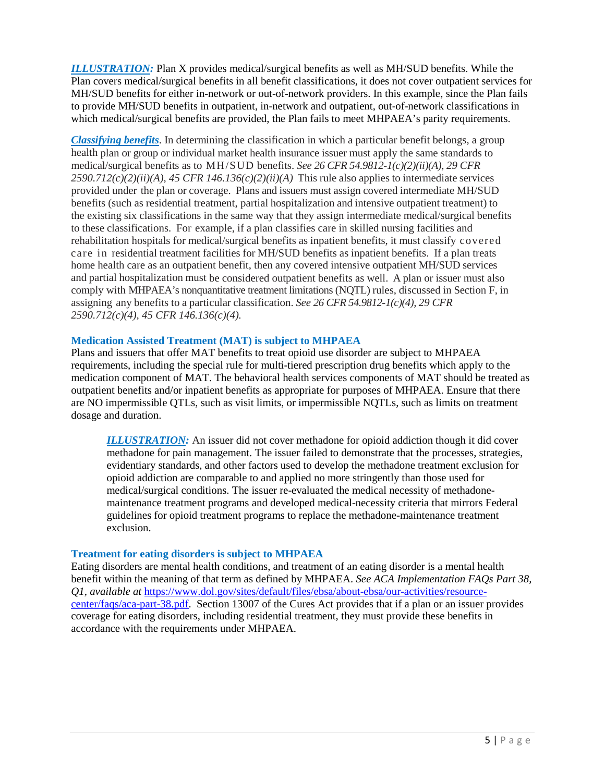*ILLUSTRATION:* Plan X provides medical/surgical benefits as well as MH/SUD benefits. While the Plan covers medical/surgical benefits in all benefit classifications, it does not cover outpatient services for MH/SUD benefits for either in-network or out-of-network providers. In this example, since the Plan fails to provide MH/SUD benefits in outpatient, in-network and outpatient, out-of-network classifications in which medical/surgical benefits are provided, the Plan fails to meet MHPAEA's parity requirements.

*Classifying benefits*. In determining the classification in which a particular benefit belongs, a group health plan or group or individual market health insurance issuer must apply the same standards to medical/surgical benefits as to MH/SUD benefits. *See 26 CFR 54.9812-1(c)(2)(ii)(A), 29 CFR*  $2590.712(c)(2)(ii)(A)$ , 45 CFR  $146.136(c)(2)(ii)(A)$  This rule also applies to intermediate services provided under the plan or coverage. Plans and issuers must assign covered intermediate MH/SUD benefits (such as residential treatment, partial hospitalization and intensive outpatient treatment) to the existing six classifications in the same way that they assign intermediate medical/surgical benefits to these classifications. For example, if a plan classifies care in skilled nursing facilities and rehabilitation hospitals for medical/surgical benefits as inpatient benefits, it must classify covered care in residential treatment facilities for MH/SUD benefits as inpatient benefits. If a plan treats home health care as an outpatient benefit, then any covered intensive outpatient MH/SUD services and partial hospitalization must be considered outpatient benefits as well. A plan or issuer must also comply with MHPAEA's nonquantitative treatment limitations (NQTL) rules, discussed in Section F, in assigning any benefits to a particular classification. *See 26 CFR 54.9812-1(c)(4), 29 CFR 2590.712(c)(4), 45 CFR 146.136(c)(4).*

#### **Medication Assisted Treatment (MAT) is subject to MHPAEA**

Plans and issuers that offer MAT benefits to treat opioid use disorder are subject to MHPAEA requirements, including the special rule for multi-tiered prescription drug benefits which apply to the medication component of MAT. The behavioral health services components of MAT should be treated as outpatient benefits and/or inpatient benefits as appropriate for purposes of MHPAEA. Ensure that there are NO impermissible QTLs, such as visit limits, or impermissible NQTLs, such as limits on treatment dosage and duration.

*ILLUSTRATION:* An issuer did not cover methadone for opioid addiction though it did cover methadone for pain management. The issuer failed to demonstrate that the processes, strategies, evidentiary standards, and other factors used to develop the methadone treatment exclusion for opioid addiction are comparable to and applied no more stringently than those used for medical/surgical conditions. The issuer re-evaluated the medical necessity of methadonemaintenance treatment programs and developed medical-necessity criteria that mirrors Federal guidelines for opioid treatment programs to replace the methadone-maintenance treatment exclusion.

#### **Treatment for eating disorders is subject to MHPAEA**

Eating disorders are mental health conditions, and treatment of an eating disorder is a mental health benefit within the meaning of that term as defined by MHPAEA. *See ACA Implementation FAQs Part 38, Q1, available at* [https://www.dol.gov/sites/default/files/ebsa/about-ebsa/our-activities/resource](https://www.dol.gov/sites/default/files/ebsa/about-ebsa/our-activities/resource-center/faqs/aca-part-38.pdf)[center/faqs/aca-part-38.pdf.](https://www.dol.gov/sites/default/files/ebsa/about-ebsa/our-activities/resource-center/faqs/aca-part-38.pdf) Section 13007 of the Cures Act provides that if a plan or an issuer provides coverage for eating disorders, including residential treatment, they must provide these benefits in accordance with the requirements under MHPAEA.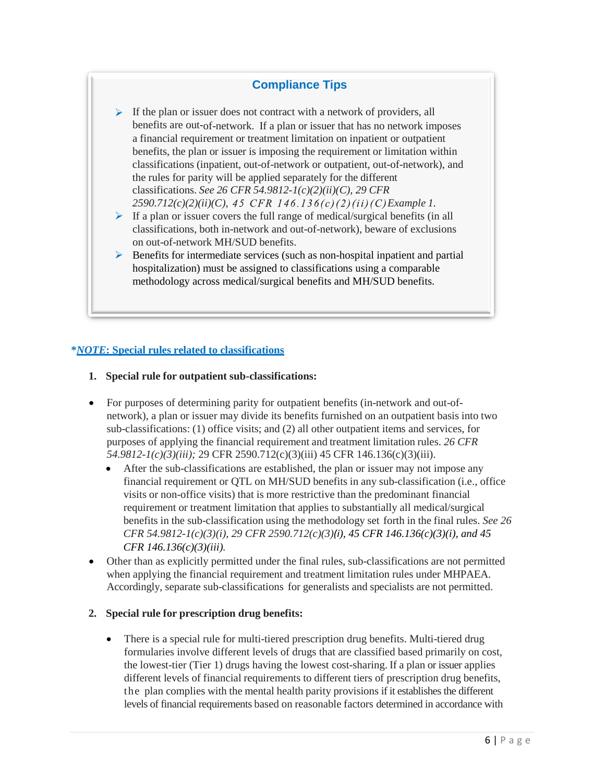# **Compliance Tips**

- $\triangleright$  If the plan or issuer does not contract with a network of providers, all benefits are out-of-network. If a plan or issuer that has no network imposes a financial requirement or treatment limitation on inpatient or outpatient benefits, the plan or issuer is imposing the requirement or limitation within classifications (inpatient, out-of-network or outpatient, out-of-network), and the rules for parity will be applied separately for the different classifications. *See 26 CFR 54.9812-1(c)(2)(ii)(C), 29 CFR 2590.712(c)(2)(ii)(C), Example 1.*
- If a plan or issuer covers the full range of medical/surgical benefits (in all classifications, both in-network and out-of-network), beware of exclusions on out-of-network MH/SUD benefits.
- $\triangleright$  Benefits for intermediate services (such as non-hospital inpatient and partial hospitalization) must be assigned to classifications using a comparable methodology across medical/surgical benefits and MH/SUD benefits.

#### **\****NOTE***: Special rules related to classifications**

- **1. Special rule for outpatient sub-classifications:**
- For purposes of determining parity for outpatient benefits (in-network and out-ofnetwork), a plan or issuer may divide its benefits furnished on an outpatient basis into two sub-classifications: (1) office visits; and (2) all other outpatient items and services, for purposes of applying the financial requirement and treatment limitation rules. *26 CFR 54.9812-1(c)(3)(iii);* 29 CFR 2590.712(c)(3)(iii) 45 CFR 146.136(c)(3)(iii).
	- After the sub-classifications are established, the plan or issuer may not impose any financial requirement or QTL on MH/SUD benefits in any sub-classification (i.e., office visits or non-office visits) that is more restrictive than the predominant financial requirement or treatment limitation that applies to substantially all medical/surgical benefits in the sub-classification using the methodology set forth in the final rules. *See 26 CFR 54.9812-1(c)(3)(i), 29 CFR 2590.712(c)(3)(i), 45 CFR 146.136(c)(3)(i), and 45 CFR 146.136(c)(3)(iii).*
- Other than as explicitly permitted under the final rules, sub-classifications are not permitted when applying the financial requirement and treatment limitation rules under MHPAEA. Accordingly, separate sub-classifications for generalists and specialists are not permitted.

#### **2. Special rule for prescription drug benefits:**

• There is a special rule for multi-tiered prescription drug benefits. Multi-tiered drug formularies involve different levels of drugs that are classified based primarily on cost, the lowest-tier (Tier 1) drugs having the lowest cost-sharing. If a plan or issuer applies different levels of financial requirements to different tiers of prescription drug benefits, the plan complies with the mental health parity provisions if it establishes the different levels of financial requirements based on reasonable factors determined in accordance with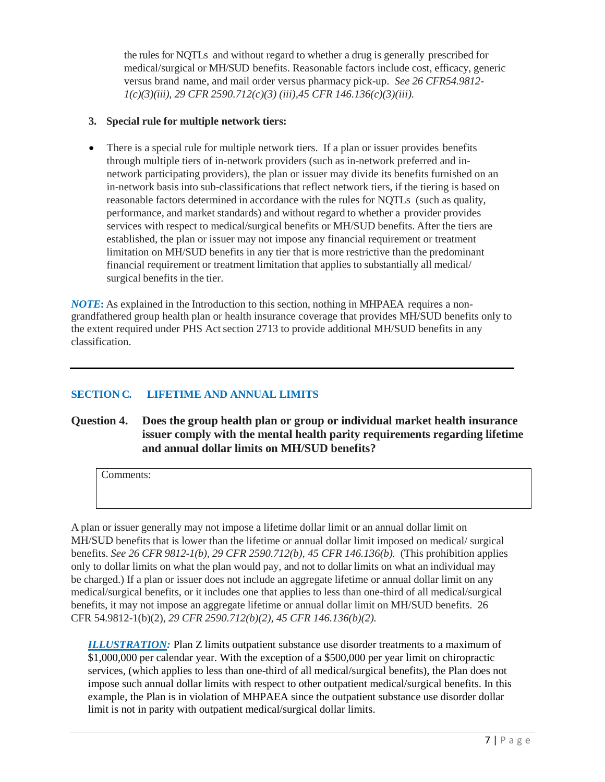the rules for NQTLs and without regard to whether a drug is generally prescribed for medical/surgical or MH/SUD benefits. Reasonable factors include cost, efficacy, generic versus brand name, and mail order versus pharmacy pick-up. *See 26 CFR54.9812- 1(c)(3)(iii), 29 CFR 2590.712(c)(3) (iii),45 CFR 146.136(c)(3)(iii).*

#### **3. Special rule for multiple network tiers:**

• There is a special rule for multiple network tiers. If a plan or issuer provides benefits through multiple tiers of in-network providers (such as in-network preferred and innetwork participating providers), the plan or issuer may divide its benefits furnished on an in-network basis into sub-classifications that reflect network tiers, if the tiering is based on reasonable factors determined in accordance with the rules for NQTLs (such as quality, performance, and market standards) and without regard to whether a provider provides services with respect to medical/surgical benefits or MH/SUD benefits. After the tiers are established, the plan or issuer may not impose any financial requirement or treatment limitation on MH/SUD benefits in any tier that is more restrictive than the predominant financial requirement or treatment limitation that applies to substantially all medical/ surgical benefits in the tier.

*NOTE***:** As explained in the Introduction to this section, nothing in MHPAEA requires a nongrandfathered group health plan or health insurance coverage that provides MH/SUD benefits only to the extent required under PHS Act section 2713 to provide additional MH/SUD benefits in any classification.

# **SECTION C. LIFETIME AND ANNUAL LIMITS**

**Question 4. Does the group health plan or group or individual market health insurance issuer comply with the mental health parity requirements regarding lifetime and annual dollar limits on MH/SUD benefits?**

Comments:

A plan or issuer generally may not impose a lifetime dollar limit or an annual dollar limit on MH/SUD benefits that is lower than the lifetime or annual dollar limit imposed on medical/ surgical benefits. *See 26 CFR 9812-1(b), 29 CFR 2590.712(b), 45 CFR 146.136(b).* (This prohibition applies only to dollar limits on what the plan would pay, and not to dollar limits on what an individual may be charged.) If a plan or issuer does not include an aggregate lifetime or annual dollar limit on any medical/surgical benefits, or it includes one that applies to less than one-third of all medical/surgical benefits, it may not impose an aggregate lifetime or annual dollar limit on MH/SUD benefits. 26 CFR 54.9812-1(b)(2), *29 CFR 2590.712(b)(2), 45 CFR 146.136(b)(2).*

*ILLUSTRATION:* Plan Z limits outpatient substance use disorder treatments to a maximum of \$1,000,000 per calendar year. With the exception of a \$500,000 per year limit on chiropractic services, (which applies to less than one-third of all medical/surgical benefits), the Plan does not impose such annual dollar limits with respect to other outpatient medical/surgical benefits. In this example, the Plan is in violation of MHPAEA since the outpatient substance use disorder dollar limit is not in parity with outpatient medical/surgical dollar limits.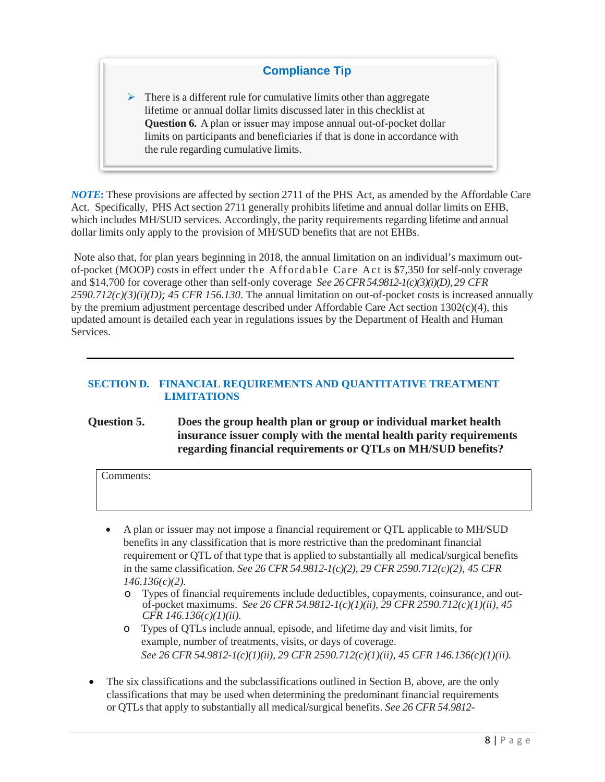# **Compliance Tip**

 $\triangleright$  There is a different rule for cumulative limits other than aggregate lifetime or annual dollar limits discussed later in this checklist at **Question 6.** A plan or issuer may impose annual out-of-pocket dollar limits on participants and beneficiaries if that is done in accordance with the rule regarding cumulative limits.

*NOTE***:** These provisions are affected by section 2711 of the PHS Act, as amended by the Affordable Care Act. Specifically, PHS Act section 2711 generally prohibits lifetime and annual dollar limits on EHB, which includes MH/SUD services. Accordingly, the parity requirements regarding lifetime and annual dollar limits only apply to the provision of MH/SUD benefits that are not EHBs.

Note also that, for plan years beginning in 2018, the annual limitation on an individual's maximum outof-pocket (MOOP) costs in effect under the Affordable Care Act is \$7,350 for self-only coverage and \$14,700 for coverage other than self-only coverage *See 26 CFR 54.9812-1(c)(3)(i)(D), 29 CFR 2590.712(c)(3)(i)(D); 45 CFR 156.130*. The annual limitation on out-of-pocket costs is increased annually by the premium adjustment percentage described under Affordable Care Act section 1302(c)(4), this updated amount is detailed each year in regulations issues by the Department of Health and Human Services.

#### **SECTION D. FINANCIAL REQUIREMENTS AND QUANTITATIVE TREATMENT LIMITATIONS**

## **Question 5. Does the group health plan or group or individual market health insurance issuer comply with the mental health parity requirements regarding financial requirements or QTLs on MH/SUD benefits?**

Comments:

- A plan or issuer may not impose a financial requirement or QTL applicable to MH/SUD benefits in any classification that is more restrictive than the predominant financial requirement or QTL of that type that is applied to substantially all medical/surgical benefits in the same classification. *See 26 CFR 54.9812-1(c)(2), 29 CFR 2590.712(c)(2), 45 CFR 146.136(c)(2).*
	- o Types of financial requirements include deductibles, copayments, coinsurance, and outof-pocket maximums. *See 26 CFR 54.9812-1(c)(1)(ii), 29 CFR 2590.712(c)(1)(ii), 45 CFR 146.136(c)(1)(ii).*
	- o Types of QTLs include annual, episode, and lifetime day and visit limits, for example, number of treatments, visits, or days of coverage. *See 26 CFR 54.9812-1(c)(1)(ii), 29 CFR 2590.712(c)(1)(ii), 45 CFR 146.136(c)(1)(ii).*
- The six classifications and the subclassifications outlined in Section B, above, are the only classifications that may be used when determining the predominant financial requirements or QTLs that apply to substantially all medical/surgical benefits. *See 26 CFR 54.9812-*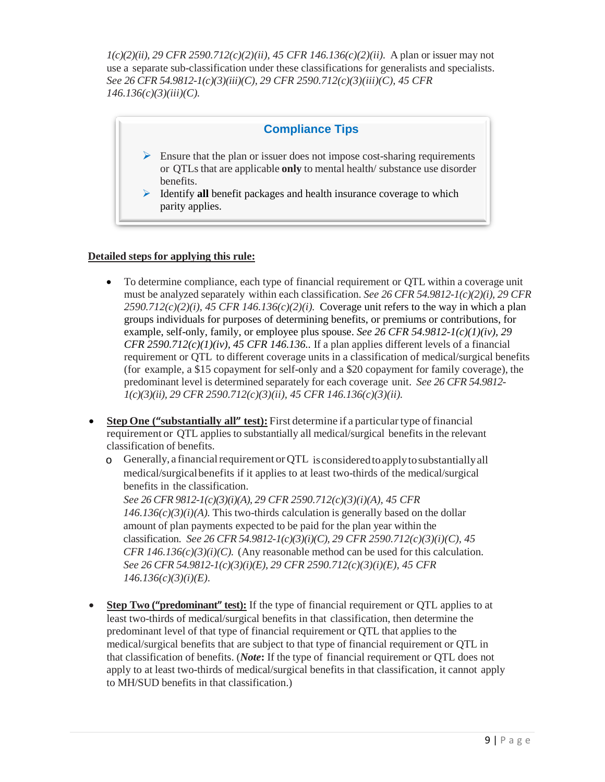*1(c)(2)(ii), 29 CFR 2590.712(c)(2)(ii), 45 CFR 146.136(c)(2)(ii).* A plan or issuer may not use a separate sub-classification under these classifications for generalists and specialists. *See 26 CFR 54.9812-1(c)(3)(iii)(C), 29 CFR 2590.712(c)(3)(iii)(C), 45 CFR 146.136(c)(3)(iii)(C).*



### **Detailed steps for applying this rule:**

- To determine compliance, each type of financial requirement or OTL within a coverage unit must be analyzed separately within each classification. *See 26 CFR 54.9812-1(c)(2)(i), 29 CFR*  $2590.712(c)(2)(i)$ , 45 CFR 146.136(c)(2)(i). Coverage unit refers to the way in which a plan groups individuals for purposes of determining benefits, or premiums or contributions, for example, self-only, family, or employee plus spouse. *See 26 CFR 54.9812-1(c)(1)(iv), 29 CFR 2590.712(c)(1)(iv), 45 CFR 146.136..* If a plan applies different levels of a financial requirement or QTL to different coverage units in a classification of medical/surgical benefits (for example, a \$15 copayment for self-only and a \$20 copayment for family coverage), the predominant level is determined separately for each coverage unit. *See 26 CFR 54.9812- 1(c)(3)(ii), 29 CFR 2590.712(c)(3)(ii), 45 CFR 146.136(c)(3)(ii).*
- **Step One ("substantially all" test):** First determine if a particular type of financial requirement or QTL applies to substantially all medical/surgical benefits in the relevant classification of benefits.
	- $\circ$  Generally, a financial requirement or QTL is considered to apply to substantially all medical/surgicalbenefits if it applies to at least two-thirds of the medical/surgical benefits in the classification.

*See 26 CFR 9812-1(c)(3)(i)(A), 29 CFR 2590.712(c)(3)(i)(A), 45 CFR*   $146.136(c)(3)(i)$ (A). This two-thirds calculation is generally based on the dollar amount of plan payments expected to be paid for the plan year within the classification. *See 26 CFR 54.9812-1(c)(3)(i)(C), 29 CFR 2590.712(c)(3)(i)(C), 45 CFR 146.136(c)(3)(i)(C).* (Any reasonable method can be used for this calculation. *See 26 CFR 54.9812-1(c)(3)(i)(E), 29 CFR 2590.712(c)(3)(i)(E), 45 CFR 146.136(c)(3)(i)(E)*.

• **Step Two ("predominant" test):** If the type of financial requirement or QTL applies to at least two-thirds of medical/surgical benefits in that classification, then determine the predominant level of that type of financial requirement or QTL that applies to the medical/surgical benefits that are subject to that type of financial requirement or QTL in that classification of benefits. (*Note***:** If the type of financial requirement or QTL does not apply to at least two-thirds of medical/surgical benefits in that classification, it cannot apply to MH/SUD benefits in that classification.)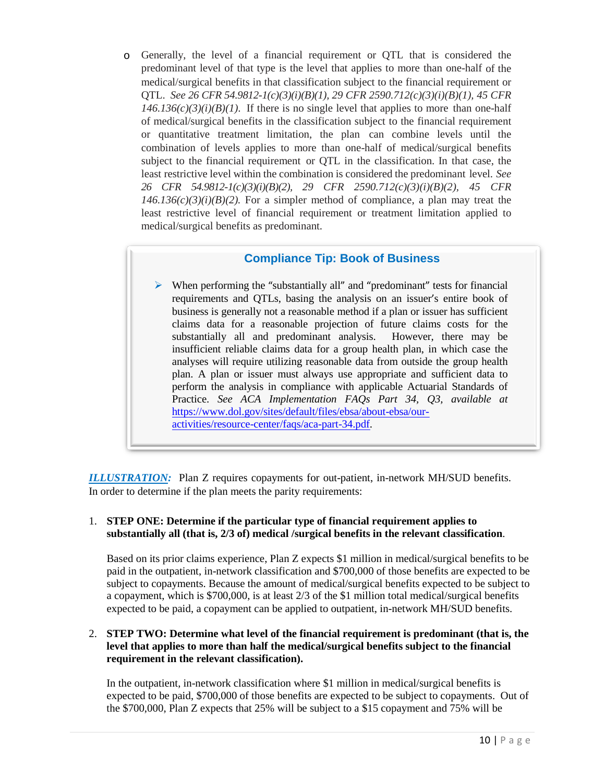o Generally, the level of a financial requirement or QTL that is considered the predominant level of that type is the level that applies to more than one-half of the medical/surgical benefits in that classification subject to the financial requirement or QTL. *See 26 CFR 54.9812-1(c)(3)(i)(B)(1), 29 CFR 2590.712(c)(3)(i)(B)(1), 45 CFR*   $146.136(c)(3)(i)(B)(1)$ . If there is no single level that applies to more than one-half of medical/surgical benefits in the classification subject to the financial requirement or quantitative treatment limitation, the plan can combine levels until the combination of levels applies to more than one-half of medical/surgical benefits subject to the financial requirement or QTL in the classification. In that case, the least restrictive level within the combination is considered the predominant level. *See 26 CFR 54.9812-1(c)(3)(i)(B)(2), 29 CFR 2590.712(c)(3)(i)(B)(2), 45 CFR*   $146.136(c)(3)(i)(B)(2)$ . For a simpler method of compliance, a plan may treat the least restrictive level of financial requirement or treatment limitation applied to medical/surgical benefits as predominant.

# **Compliance Tip: Book of Business**

 $\triangleright$  When performing the "substantially all" and "predominant" tests for financial requirements and QTLs, basing the analysis on an issuer's entire book of business is generally not a reasonable method if a plan or issuer has sufficient claims data for a reasonable projection of future claims costs for the substantially all and predominant analysis. However, there may be insufficient reliable claims data for a group health plan, in which case the analyses will require utilizing reasonable data from outside the group health plan. A plan or issuer must always use appropriate and sufficient data to perform the analysis in compliance with applicable Actuarial Standards of Practice. *See ACA Implementation FAQs Part 34, Q3, available at*  [https://www.dol.gov/sites/default/files/ebsa/about-ebsa/our](https://www.dol.gov/sites/default/files/ebsa/about-ebsa/our-activities/resource-center/faqs/aca-part-34.pdf)[activities/resource-center/faqs/aca-part-34.pdf.](https://www.dol.gov/sites/default/files/ebsa/about-ebsa/our-activities/resource-center/faqs/aca-part-34.pdf)

*ILLUSTRATION:* Plan Z requires copayments for out-patient, in-network MH/SUD benefits. In order to determine if the plan meets the parity requirements:

#### 1. **STEP ONE: Determine if the particular type of financial requirement applies to substantially all (that is, 2/3 of) medical /surgical benefits in the relevant classification**.

Based on its prior claims experience, Plan Z expects \$1 million in medical/surgical benefits to be paid in the outpatient, in-network classification and \$700,000 of those benefits are expected to be subject to copayments. Because the amount of medical/surgical benefits expected to be subject to a copayment, which is \$700,000, is at least 2/3 of the \$1 million total medical/surgical benefits expected to be paid, a copayment can be applied to outpatient, in-network MH/SUD benefits.

#### 2. **STEP TWO: Determine what level of the financial requirement is predominant (that is, the level that applies to more than half the medical/surgical benefits subject to the financial requirement in the relevant classification).**

In the outpatient, in-network classification where \$1 million in medical/surgical benefits is expected to be paid, \$700,000 of those benefits are expected to be subject to copayments. Out of the \$700,000, Plan Z expects that 25% will be subject to a \$15 copayment and 75% will be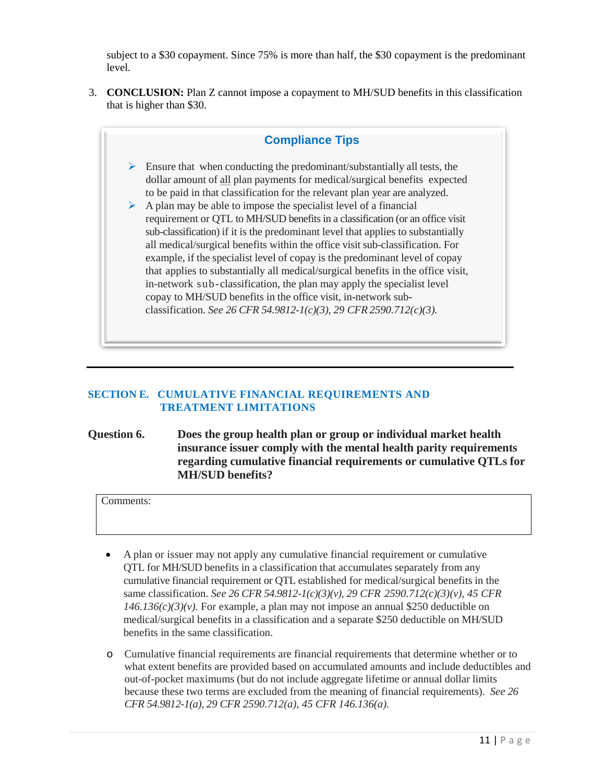subject to a \$30 copayment. Since 75% is more than half, the \$30 copayment is the predominant level.

3. **CONCLUSION:** Plan Z cannot impose a copayment to MH/SUD benefits in this classification that is higher than \$30.



## **SECTION E. CUMULATIVE FINANCIAL REQUIREMENTS AND TREATMENT LIMITATIONS**

## **Question 6. Does the group health plan or group or individual market health insurance issuer comply with the mental health parity requirements regarding cumulative financial requirements or cumulative QTLs for MH/SUD benefits?**

Comments:

- A plan or issuer may not apply any cumulative financial requirement or cumulative QTL for MH/SUD benefits in a classification that accumulates separately from any cumulative financial requirement or QTL established for medical/surgical benefits in the same classification. *See 26 CFR 54.9812-1(c)(3)(v), 29 CFR 2590.712(c)(3)(v), 45 CFR*   $146.136(c)(3)(v)$ . For example, a plan may not impose an annual \$250 deductible on medical/surgical benefits in a classification and a separate \$250 deductible on MH/SUD benefits in the same classification.
- o Cumulative financial requirements are financial requirements that determine whether or to what extent benefits are provided based on accumulated amounts and include deductibles and out-of-pocket maximums (but do not include aggregate lifetime or annual dollar limits because these two terms are excluded from the meaning of financial requirements). *See 26 CFR 54.9812-1(a), 29 CFR 2590.712(a), 45 CFR 146.136(a).*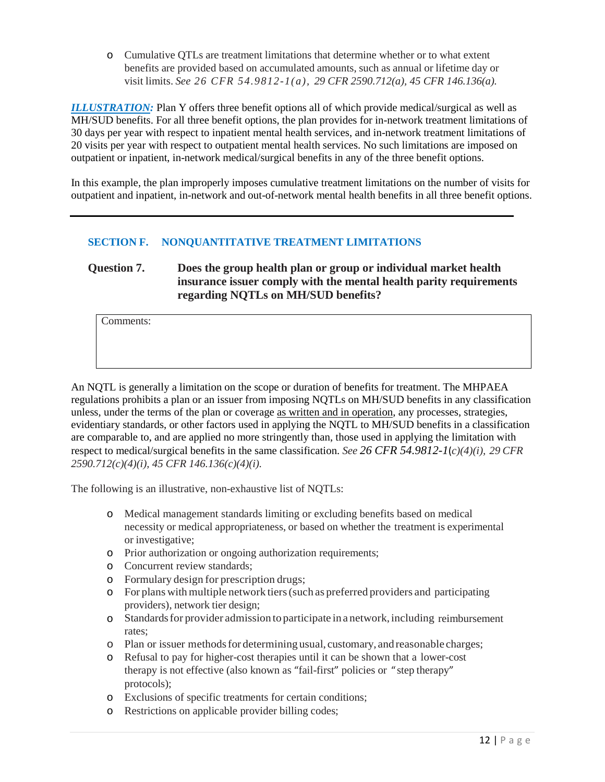o Cumulative QTLs are treatment limitations that determine whether or to what extent benefits are provided based on accumulated amounts, such as annual or lifetime day or visit limits. *See 26 CFR 54.9812-1(a), 29 CFR 2590.712(a), 45 CFR 146.136(a).*

*ILLUSTRATION:* Plan Y offers three benefit options all of which provide medical/surgical as well as MH/SUD benefits. For all three benefit options, the plan provides for in-network treatment limitations of 30 days per year with respect to inpatient mental health services, and in-network treatment limitations of 20 visits per year with respect to outpatient mental health services. No such limitations are imposed on outpatient or inpatient, in-network medical/surgical benefits in any of the three benefit options.

In this example, the plan improperly imposes cumulative treatment limitations on the number of visits for outpatient and inpatient, in-network and out-of-network mental health benefits in all three benefit options.

### **SECTION F. NONQUANTITATIVE TREATMENT LIMITATIONS**

# **Question 7. Does the group health plan or group or individual market health insurance issuer comply with the mental health parity requirements regarding NQTLs on MH/SUD benefits?**

Comments:

An NQTL is generally a limitation on the scope or duration of benefits for treatment. The MHPAEA regulations prohibits a plan or an issuer from imposing NQTLs on MH/SUD benefits in any classification unless, under the terms of the plan or coverage as written and in operation, any processes, strategies, evidentiary standards, or other factors used in applying the NQTL to MH/SUD benefits in a classification are comparable to, and are applied no more stringently than, those used in applying the limitation with respect to medical/surgical benefits in the same classification. *See 26 CFR 54.9812-1*(*c)(4)(i), 29 CFR 2590.712(c)(4)(i), 45 CFR 146.136(c)(4)(i).*

The following is an illustrative, non-exhaustive list of NQTLs:

- o Medical management standards limiting or excluding benefits based on medical necessity or medical appropriateness, or based on whether the treatment is experimental or investigative;
- o Prior authorization or ongoing authorization requirements;
- o Concurrent review standards;
- o Formulary design for prescription drugs;
- o For plans withmultiple network tiers(such as preferred providers and participating providers), network tier design;
- o Standardsfor provider admission to participate in a network, including reimbursement rates;
- o Plan or issuer methodsfor determining usual, customary, andreasonable charges;
- o Refusal to pay for higher-cost therapies until it can be shown that a lower-cost therapy is not effective (also known as "fail-first" policies or " step therapy" protocols);
- o Exclusions of specific treatments for certain conditions;
- o Restrictions on applicable provider billing codes;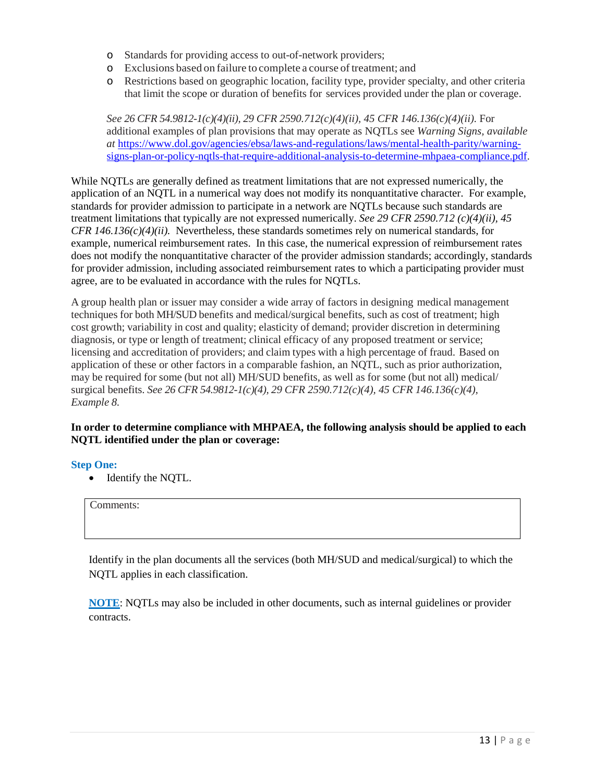- o Standards for providing access to out-of-network providers;
- o Exclusions based on failure to complete a course of treatment; and
- o Restrictions based on geographic location, facility type, provider specialty, and other criteria that limit the scope or duration of benefits for services provided under the plan or coverage.

*See 26 CFR 54.9812-1(c)(4)(ii), 29 CFR 2590.712(c)(4)(ii), 45 CFR 146.136(c)(4)(ii).* For additional examples of plan provisions that may operate as NQTLs see *Warning Signs, available at* [https://www.dol.gov/agencies/ebsa/laws-and-regulations/laws/mental-health-parity/warning](https://www.dol.gov/agencies/ebsa/laws-and-regulations/laws/mental-health-parity/warning-signs-plan-or-policy-nqtls-that-require-additional-analysis-to-determine-mhpaea-compliance.pdf)[signs-plan-or-policy-nqtls-that-require-additional-analysis-to-determine-mhpaea-compliance.pdf.](https://www.dol.gov/agencies/ebsa/laws-and-regulations/laws/mental-health-parity/warning-signs-plan-or-policy-nqtls-that-require-additional-analysis-to-determine-mhpaea-compliance.pdf)

While NQTLs are generally defined as treatment limitations that are not expressed numerically, the application of an NQTL in a numerical way does not modify its nonquantitative character. For example, standards for provider admission to participate in a network are NQTLs because such standards are treatment limitations that typically are not expressed numerically. *See 29 CFR 2590.712 (c)(4)(ii), 45 CFR 146.136(c)(4)(ii).* Nevertheless, these standards sometimes rely on numerical standards, for example, numerical reimbursement rates. In this case, the numerical expression of reimbursement rates does not modify the nonquantitative character of the provider admission standards; accordingly, standards for provider admission, including associated reimbursement rates to which a participating provider must agree, are to be evaluated in accordance with the rules for NQTLs.

A group health plan or issuer may consider a wide array of factors in designing medical management techniques for both MH/SUD benefits and medical/surgical benefits, such as cost of treatment; high cost growth; variability in cost and quality; elasticity of demand; provider discretion in determining diagnosis, or type or length of treatment; clinical efficacy of any proposed treatment or service; licensing and accreditation of providers; and claim types with a high percentage of fraud. Based on application of these or other factors in a comparable fashion, an NQTL, such as prior authorization, may be required for some (but not all) MH/SUD benefits, as well as for some (but not all) medical/ surgical benefits. *See 26 CFR 54.9812-1(c)(4), 29 CFR 2590.712(c)(4), 45 CFR 146.136(c)(4), Example 8.*

#### **In order to determine compliance with MHPAEA, the following analysis should be applied to each NQTL identified under the plan or coverage:**

#### **Step One:**

• Identify the NQTL.

Comments:

Identify in the plan documents all the services (both MH/SUD and medical/surgical) to which the NQTL applies in each classification.

**NOTE**: NQTLs may also be included in other documents, such as internal guidelines or provider contracts.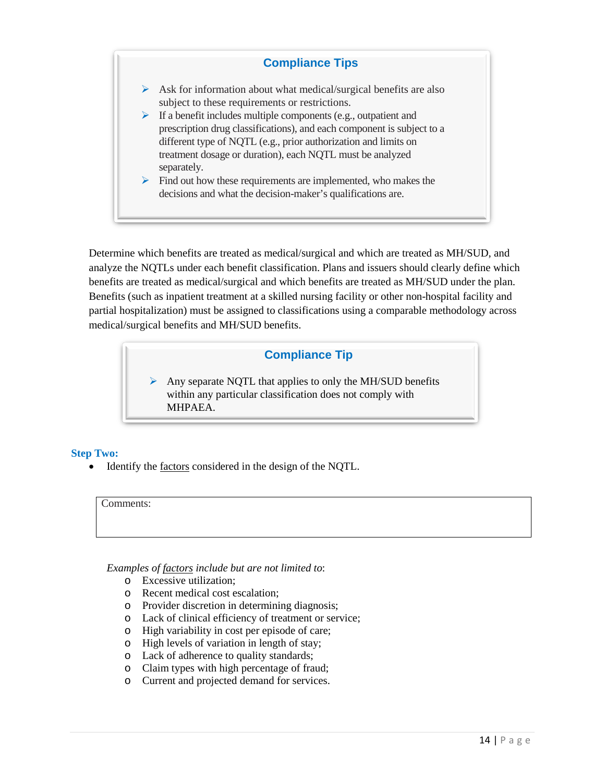# **Compliance Tips**

- $\triangleright$  Ask for information about what medical/surgical benefits are also subject to these requirements or restrictions.
- $\triangleright$  If a benefit includes multiple components (e.g., outpatient and prescription drug classifications), and each component is subject to a different type of NQTL (e.g., prior authorization and limits on treatment dosage or duration), each NQTL must be analyzed separately.
- $\triangleright$  Find out how these requirements are implemented, who makes the decisions and what the decision-maker's qualifications are.

Determine which benefits are treated as medical/surgical and which are treated as MH/SUD, and analyze the NQTLs under each benefit classification. Plans and issuers should clearly define which benefits are treated as medical/surgical and which benefits are treated as MH/SUD under the plan. Benefits (such as inpatient treatment at a skilled nursing facility or other non-hospital facility and partial hospitalization) must be assigned to classifications using a comparable methodology across medical/surgical benefits and MH/SUD benefits.

# **Compliance Tip**

 $\triangleright$  Any separate NQTL that applies to only the MH/SUD benefits within any particular classification does not comply with MHPAEA.

### **Step Two:**

Identify the factors considered in the design of the NQTL.

Comments:

*Examples of factors include but are not limited to*:

- o Excessive utilization;
- o Recent medical cost escalation;
- o Provider discretion in determining diagnosis;
- o Lack of clinical efficiency of treatment or service;
- o High variability in cost per episode of care;
- o High levels of variation in length of stay;
- o Lack of adherence to quality standards;
- o Claim types with high percentage of fraud;
- o Current and projected demand for services.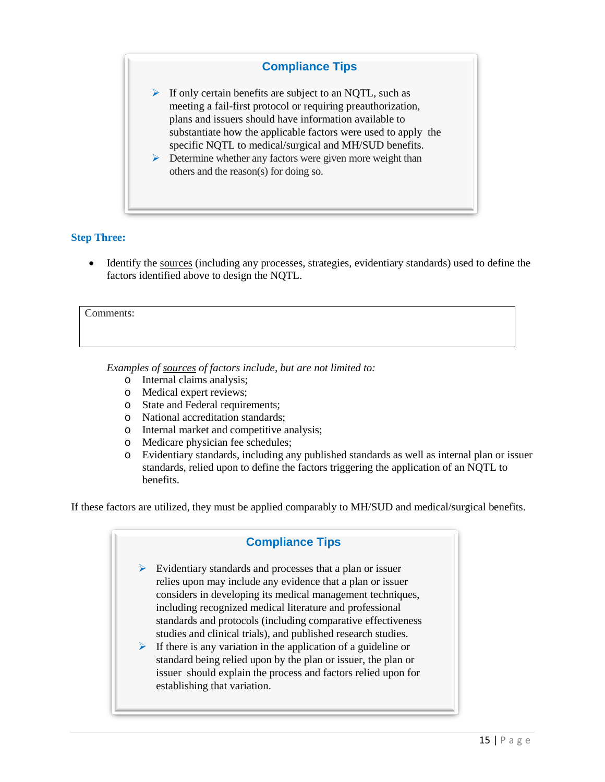## **Compliance Tips**

 $\triangleright$  If only certain benefits are subject to an NQTL, such as meeting a fail-first protocol or requiring preauthorization, plans and issuers should have information available to substantiate how the applicable factors were used to apply the specific NQTL to medical/surgical and MH/SUD benefits.

 $\triangleright$  Determine whether any factors were given more weight than others and the reason(s) for doing so.

#### **Step Three:**

• Identify the sources (including any processes, strategies, evidentiary standards) used to define the factors identified above to design the NQTL.

#### Comments:

*Examples of sources of factors include, but are not limited to:*

- o Internal claims analysis;
- o Medical expert reviews;
- o State and Federal requirements;
- o National accreditation standards;
- o Internal market and competitive analysis;
- o Medicare physician fee schedules;<br>
o Evidentiary standards, including an
- Evidentiary standards, including any published standards as well as internal plan or issuer standards, relied upon to define the factors triggering the application of an NQTL to benefits.

If these factors are utilized, they must be applied comparably to MH/SUD and medical/surgical benefits.

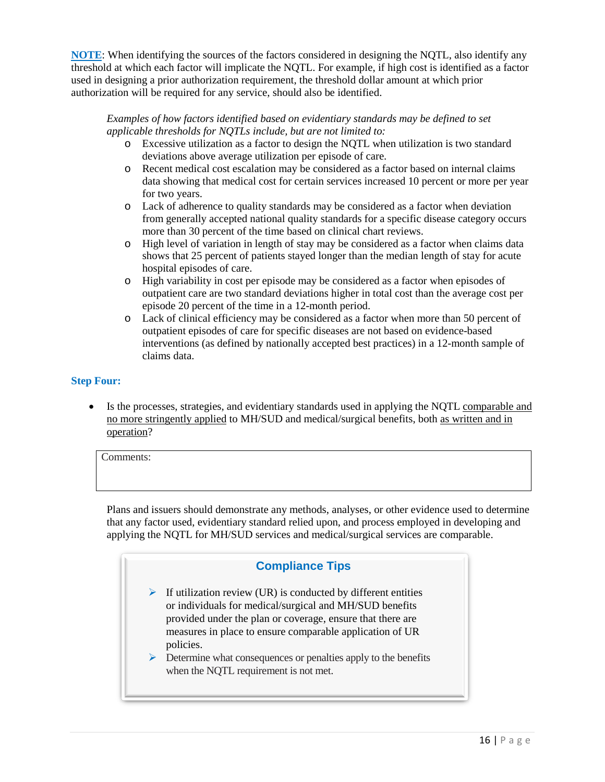**NOTE**: When identifying the sources of the factors considered in designing the NQTL, also identify any threshold at which each factor will implicate the NQTL. For example, if high cost is identified as a factor used in designing a prior authorization requirement, the threshold dollar amount at which prior authorization will be required for any service, should also be identified.

#### *Examples of how factors identified based on evidentiary standards may be defined to set applicable thresholds for NQTLs include, but are not limited to:*

- o Excessive utilization as a factor to design the NQTL when utilization is two standard deviations above average utilization per episode of care.
- o Recent medical cost escalation may be considered as a factor based on internal claims data showing that medical cost for certain services increased 10 percent or more per year for two years.
- o Lack of adherence to quality standards may be considered as a factor when deviation from generally accepted national quality standards for a specific disease category occurs more than 30 percent of the time based on clinical chart reviews.
- o High level of variation in length of stay may be considered as a factor when claims data shows that 25 percent of patients stayed longer than the median length of stay for acute hospital episodes of care.
- o High variability in cost per episode may be considered as a factor when episodes of outpatient care are two standard deviations higher in total cost than the average cost per episode 20 percent of the time in a 12-month period.
- o Lack of clinical efficiency may be considered as a factor when more than 50 percent of outpatient episodes of care for specific diseases are not based on evidence-based interventions (as defined by nationally accepted best practices) in a 12-month sample of claims data.

### **Step Four:**

Is the processes, strategies, and evidentiary standards used in applying the NQTL comparable and no more stringently applied to MH/SUD and medical/surgical benefits, both as written and in operation?

Comments:

Plans and issuers should demonstrate any methods, analyses, or other evidence used to determine that any factor used, evidentiary standard relied upon, and process employed in developing and applying the NQTL for MH/SUD services and medical/surgical services are comparable.

# **Compliance Tips**

- $\triangleright$  If utilization review (UR) is conducted by different entities or individuals for medical/surgical and MH/SUD benefits provided under the plan or coverage, ensure that there are measures in place to ensure comparable application of UR policies.
- $\triangleright$  Determine what consequences or penalties apply to the benefits when the NQTL requirement is not met.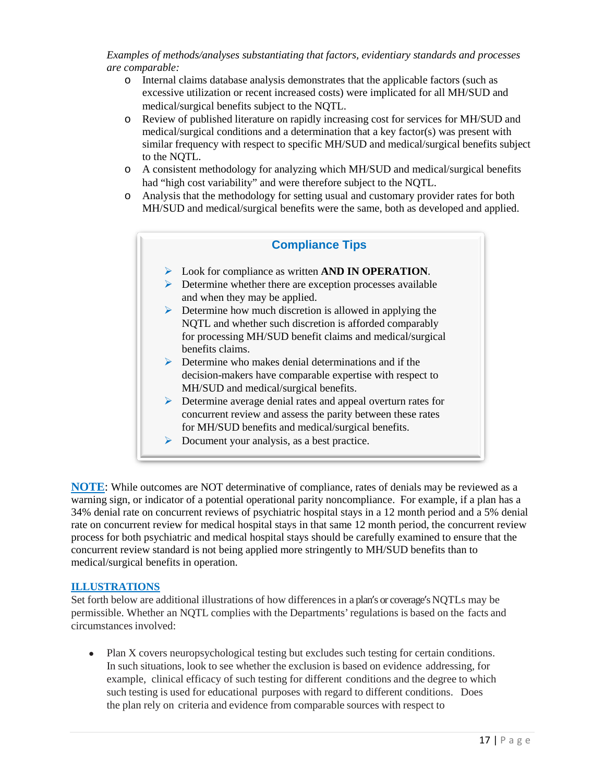*Examples of methods/analyses substantiating that factors, evidentiary standards and processes are comparable:*

- o Internal claims database analysis demonstrates that the applicable factors (such as excessive utilization or recent increased costs) were implicated for all MH/SUD and medical/surgical benefits subject to the NQTL.
- o Review of published literature on rapidly increasing cost for services for MH/SUD and medical/surgical conditions and a determination that a key factor(s) was present with similar frequency with respect to specific MH/SUD and medical/surgical benefits subject to the NQTL.
- o A consistent methodology for analyzing which MH/SUD and medical/surgical benefits had "high cost variability" and were therefore subject to the NQTL.
- o Analysis that the methodology for setting usual and customary provider rates for both MH/SUD and medical/surgical benefits were the same, both as developed and applied.

### **Compliance Tips**

- Look for compliance as written **AND IN OPERATION**.
- $\triangleright$  Determine whether there are exception processes available and when they may be applied.
- $\triangleright$  Determine how much discretion is allowed in applying the NQTL and whether such discretion is afforded comparably for processing MH/SUD benefit claims and medical/surgical benefits claims.
- $\triangleright$  Determine who makes denial determinations and if the decision-makers have comparable expertise with respect to MH/SUD and medical/surgical benefits.
- **Determine average denial rates and appeal overturn rates for** concurrent review and assess the parity between these rates for MH/SUD benefits and medical/surgical benefits.
- $\triangleright$  Document your analysis, as a best practice.

**NOTE:** While outcomes are NOT determinative of compliance, rates of denials may be reviewed as a warning sign, or indicator of a potential operational parity noncompliance. For example, if a plan has a 34% denial rate on concurrent reviews of psychiatric hospital stays in a 12 month period and a 5% denial rate on concurrent review for medical hospital stays in that same 12 month period, the concurrent review process for both psychiatric and medical hospital stays should be carefully examined to ensure that the concurrent review standard is not being applied more stringently to MH/SUD benefits than to medical/surgical benefits in operation.

#### **ILLUSTRATIONS**

Set forth below are additional illustrations of how differences in a plan's or coverage's NQTLs may be permissible. Whether an NQTL complies with the Departments'regulations is based on the facts and circumstances involved:

• Plan X covers neuropsychological testing but excludes such testing for certain conditions. In such situations, look to see whether the exclusion is based on evidence addressing, for example, clinical efficacy of such testing for different conditions and the degree to which such testing is used for educational purposes with regard to different conditions. Does the plan rely on criteria and evidence from comparable sources with respect to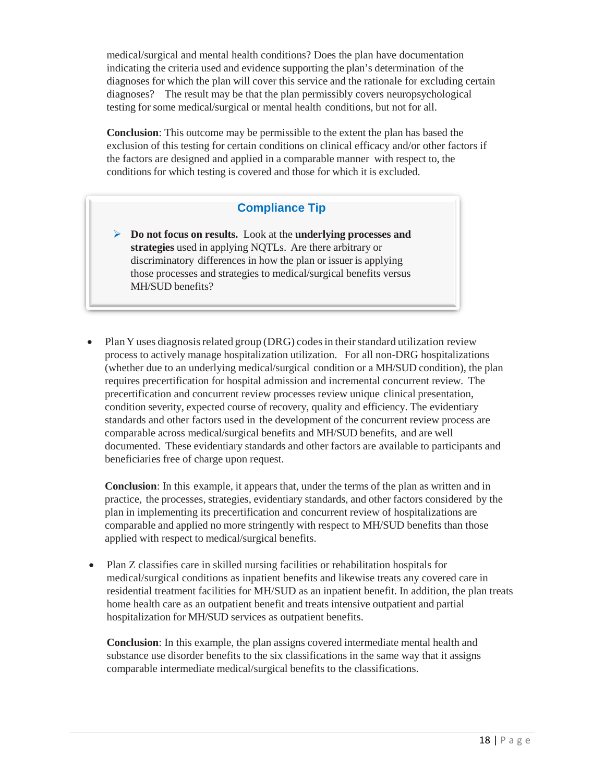medical/surgical and mental health conditions? Does the plan have documentation indicating the criteria used and evidence supporting the plan's determination of the diagnoses for which the plan will cover this service and the rationale for excluding certain diagnoses? The result may be that the plan permissibly covers neuropsychological testing for some medical/surgical or mental health conditions, but not for all.

**Conclusion**: This outcome may be permissible to the extent the plan has based the exclusion of this testing for certain conditions on clinical efficacy and/or other factors if the factors are designed and applied in a comparable manner with respect to, the conditions for which testing is covered and those for which it is excluded.

# **Compliance Tip**

- **Do not focus on results.** Look at the **underlying processes and strategies** used in applying NQTLs. Are there arbitrary or discriminatory differences in how the plan or issuer is applying those processes and strategies to medical/surgical benefits versus MH/SUD benefits?
- Plan Y uses diagnosis related group (DRG) codes in their standard utilization review process to actively manage hospitalization utilization. For all non-DRG hospitalizations (whether due to an underlying medical/surgical condition or a MH/SUD condition), the plan requires precertification for hospital admission and incremental concurrent review. The precertification and concurrent review processes review unique clinical presentation, condition severity, expected course of recovery, quality and efficiency. The evidentiary standards and other factors used in the development of the concurrent review process are comparable across medical/surgical benefits and MH/SUD benefits, and are well documented. These evidentiary standards and other factors are available to participants and beneficiaries free of charge upon request.

**Conclusion**: In this example, it appears that, under the terms of the plan as written and in practice, the processes, strategies, evidentiary standards, and other factors considered by the plan in implementing its precertification and concurrent review of hospitalizations are comparable and applied no more stringently with respect to MH/SUD benefits than those applied with respect to medical/surgical benefits.

• Plan Z classifies care in skilled nursing facilities or rehabilitation hospitals for medical/surgical conditions as inpatient benefits and likewise treats any covered care in residential treatment facilities for MH/SUD as an inpatient benefit. In addition, the plan treats home health care as an outpatient benefit and treats intensive outpatient and partial hospitalization for MH/SUD services as outpatient benefits.

**Conclusion**: In this example, the plan assigns covered intermediate mental health and substance use disorder benefits to the six classifications in the same way that it assigns comparable intermediate medical/surgical benefits to the classifications.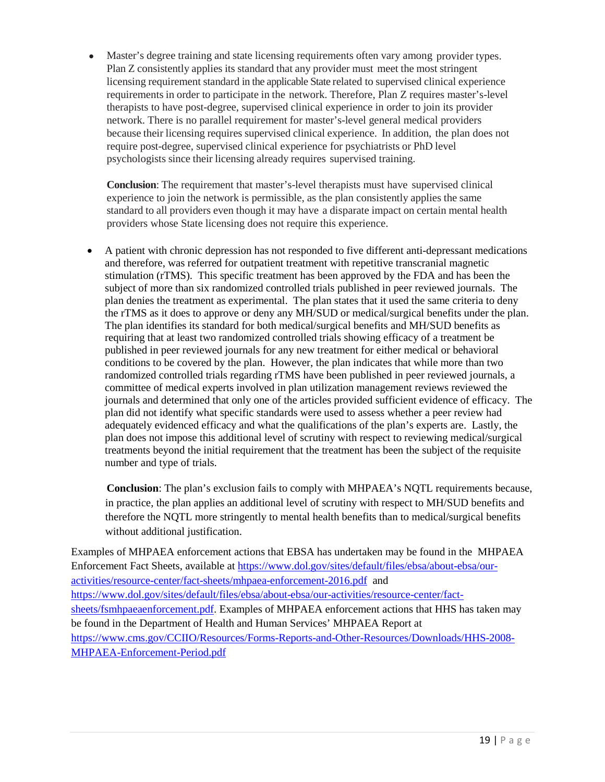Master's degree training and state licensing requirements often vary among provider types. Plan Z consistently applies its standard that any provider must meet the most stringent licensing requirement standard in the applicable State related to supervised clinical experience requirements in order to participate in the network. Therefore, Plan Z requires master's-level therapists to have post-degree, supervised clinical experience in order to join its provider network. There is no parallel requirement for master's-level general medical providers because their licensing requires supervised clinical experience. In addition, the plan does not require post-degree, supervised clinical experience for psychiatrists or PhD level psychologists since their licensing already requires supervised training.

**Conclusion**: The requirement that master's-level therapists must have supervised clinical experience to join the network is permissible, as the plan consistently applies the same standard to all providers even though it may have a disparate impact on certain mental health providers whose State licensing does not require this experience.

• A patient with chronic depression has not responded to five different anti-depressant medications and therefore, was referred for outpatient treatment with repetitive transcranial magnetic stimulation (rTMS). This specific treatment has been approved by the FDA and has been the subject of more than six randomized controlled trials published in peer reviewed journals. The plan denies the treatment as experimental. The plan states that it used the same criteria to deny the rTMS as it does to approve or deny any MH/SUD or medical/surgical benefits under the plan. The plan identifies its standard for both medical/surgical benefits and MH/SUD benefits as requiring that at least two randomized controlled trials showing efficacy of a treatment be published in peer reviewed journals for any new treatment for either medical or behavioral conditions to be covered by the plan. However, the plan indicates that while more than two randomized controlled trials regarding rTMS have been published in peer reviewed journals, a committee of medical experts involved in plan utilization management reviews reviewed the journals and determined that only one of the articles provided sufficient evidence of efficacy. The plan did not identify what specific standards were used to assess whether a peer review had adequately evidenced efficacy and what the qualifications of the plan's experts are. Lastly, the plan does not impose this additional level of scrutiny with respect to reviewing medical/surgical treatments beyond the initial requirement that the treatment has been the subject of the requisite number and type of trials.

**Conclusion**: The plan's exclusion fails to comply with MHPAEA's NQTL requirements because, in practice, the plan applies an additional level of scrutiny with respect to MH/SUD benefits and therefore the NQTL more stringently to mental health benefits than to medical/surgical benefits without additional justification.

Examples of MHPAEA enforcement actions that EBSA has undertaken may be found in the MHPAEA Enforcement Fact Sheets, available at [https://www.dol.gov/sites/default/files/ebsa/about-ebsa/our](https://www.dol.gov/sites/default/files/ebsa/about-ebsa/our-activities/resource-center/fact-sheets/mhpaea-enforcement-2016.pdf)[activities/resource-center/fact-sheets/mhpaea-enforcement-2016.pdf](https://www.dol.gov/sites/default/files/ebsa/about-ebsa/our-activities/resource-center/fact-sheets/mhpaea-enforcement-2016.pdf) and [https://www.dol.gov/sites/default/files/ebsa/about-ebsa/our-activities/resource-center/fact](https://www.dol.gov/sites/default/files/ebsa/about-ebsa/our-activities/resource-center/fact-sheets/fsmhpaeaenforcement.pdf)[sheets/fsmhpaeaenforcement.pdf.](https://www.dol.gov/sites/default/files/ebsa/about-ebsa/our-activities/resource-center/fact-sheets/fsmhpaeaenforcement.pdf) Examples of MHPAEA enforcement actions that HHS has taken may be found in the Department of Health and Human Services' MHPAEA Report at [https://www.cms.gov/CCIIO/Resources/Forms-Reports-and-Other-Resources/Downloads/HHS-2008-](https://www.cms.gov/CCIIO/Resources/Forms-Reports-and-Other-Resources/Downloads/HHS-2008-MHPAEA-Enforcement-Period.pdf) [MHPAEA-Enforcement-Period.pdf](https://www.cms.gov/CCIIO/Resources/Forms-Reports-and-Other-Resources/Downloads/HHS-2008-MHPAEA-Enforcement-Period.pdf)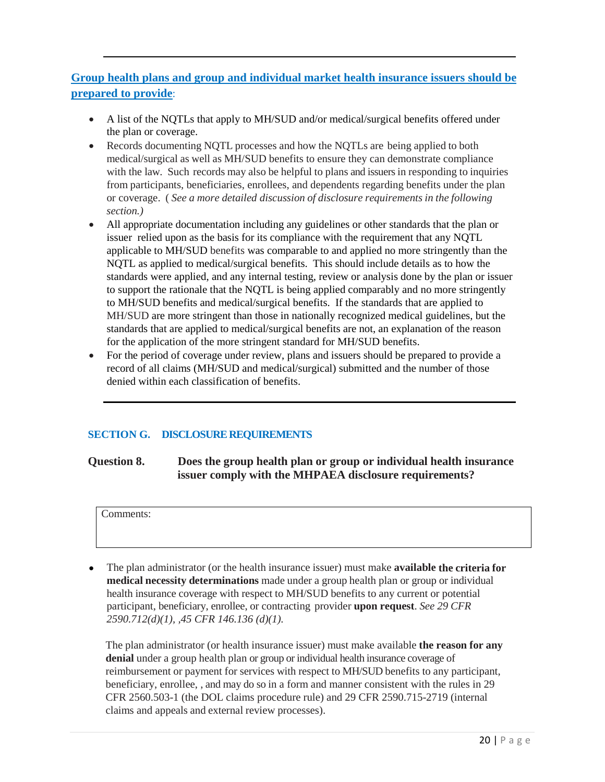# **Group health plans and group and individual market health insurance issuers should be prepared to provide**:

- A list of the NQTLs that apply to MH/SUD and/or medical/surgical benefits offered under the plan or coverage.
- Records documenting NQTL processes and how the NQTLs are being applied to both medical/surgical as well as MH/SUD benefits to ensure they can demonstrate compliance with the law. Such records may also be helpful to plans and issuers in responding to inquiries from participants, beneficiaries, enrollees, and dependents regarding benefits under the plan or coverage. ( *See a more detailed discussion of disclosure requirements in the following section.)*
- All appropriate documentation including any guidelines or other standards that the plan or issuer relied upon as the basis for its compliance with the requirement that any NQTL applicable to MH/SUD benefits was comparable to and applied no more stringently than the NQTL as applied to medical/surgical benefits. This should include details as to how the standards were applied, and any internal testing, review or analysis done by the plan or issuer to support the rationale that the NQTL is being applied comparably and no more stringently to MH/SUD benefits and medical/surgical benefits. If the standards that are applied to MH/SUD are more stringent than those in nationally recognized medical guidelines, but the standards that are applied to medical/surgical benefits are not, an explanation of the reason for the application of the more stringent standard for MH/SUD benefits.
- For the period of coverage under review, plans and issuers should be prepared to provide a record of all claims (MH/SUD and medical/surgical) submitted and the number of those denied within each classification of benefits.

# **SECTION G. DISCLOSURE REQUIREMENTS**

**Question 8. Does the group health plan or group or individual health insurance issuer comply with the MHPAEA disclosure requirements?** 

Comments:

• The plan administrator (or the health insurance issuer) must make **available the criteria for medical necessity determinations** made under a group health plan or group or individual health insurance coverage with respect to MH/SUD benefits to any current or potential participant, beneficiary, enrollee, or contracting provider **upon request**. *See 29 CFR 2590.712(d)(1), ,45 CFR 146.136 (d)(1).* 

The plan administrator (or health insurance issuer) must make available **the reason for any denial** under a group health plan or group or individual health insurance coverage of reimbursement or payment for services with respect to MH/SUD benefits to any participant, beneficiary, enrollee, , and may do so in a form and manner consistent with the rules in 29 CFR 2560.503-1 (the DOL claims procedure rule) and 29 CFR 2590.715-2719 (internal claims and appeals and external review processes).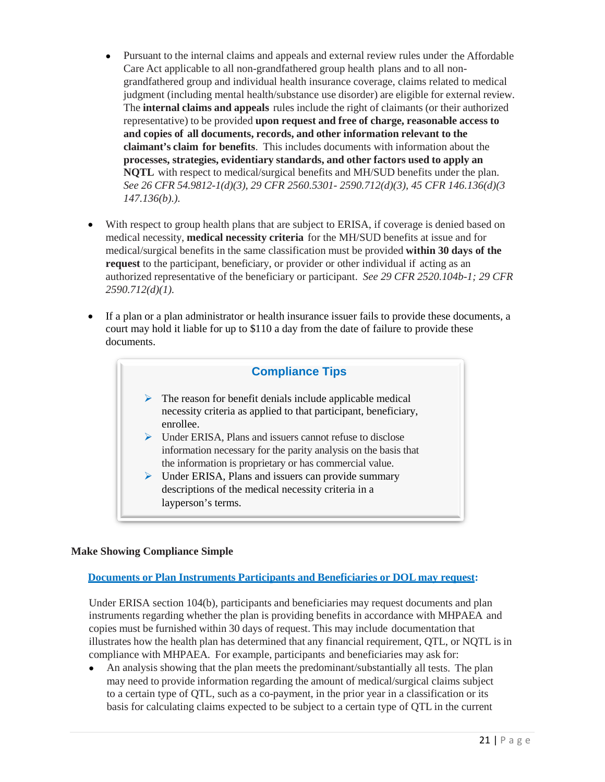- Pursuant to the internal claims and appeals and external review rules under the Affordable Care Act applicable to all non-grandfathered group health plans and to all nongrandfathered group and individual health insurance coverage, claims related to medical judgment (including mental health/substance use disorder) are eligible for external review. The **internal claims and appeals** rules include the right of claimants (or their authorized representative) to be provided **upon request and free of charge, reasonable access to and copies of all documents, records, and other information relevant to the claimant's claim for benefits**. This includes documents with information about the **processes, strategies, evidentiary standards, and other factors used to apply an NQTL** with respect to medical/surgical benefits and MH/SUD benefits under the plan. *See 26 CFR 54.9812-1(d)(3), 29 CFR 2560.5301- 2590.712(d)(3), 45 CFR 146.136(d)(3 147.136(b).).*
- With respect to group health plans that are subject to ERISA, if coverage is denied based on medical necessity, **medical necessity criteria** for the MH/SUD benefits at issue and for medical/surgical benefits in the same classification must be provided **within 30 days of the request** to the participant, beneficiary, or provider or other individual if acting as an authorized representative of the beneficiary or participant. *See 29 CFR 2520.104b-1; 29 CFR 2590.712(d)(1).*
- If a plan or a plan administrator or health insurance issuer fails to provide these documents, a court may hold it liable for up to \$110 a day from the date of failure to provide these documents.



### **Make Showing Compliance Simple**

### **Documents or Plan Instruments Participants and Beneficiaries or DOL may request:**

Under ERISA section 104(b), participants and beneficiaries may request documents and plan instruments regarding whether the plan is providing benefits in accordance with MHPAEA and copies must be furnished within 30 days of request. This may include documentation that illustrates how the health plan has determined that any financial requirement, QTL, or NQTL is in compliance with MHPAEA. For example, participants and beneficiaries may ask for:

• An analysis showing that the plan meets the predominant/substantially all tests. The plan may need to provide information regarding the amount of medical/surgical claims subject to a certain type of QTL, such as a co-payment, in the prior year in a classification or its basis for calculating claims expected to be subject to a certain type of QTL in the current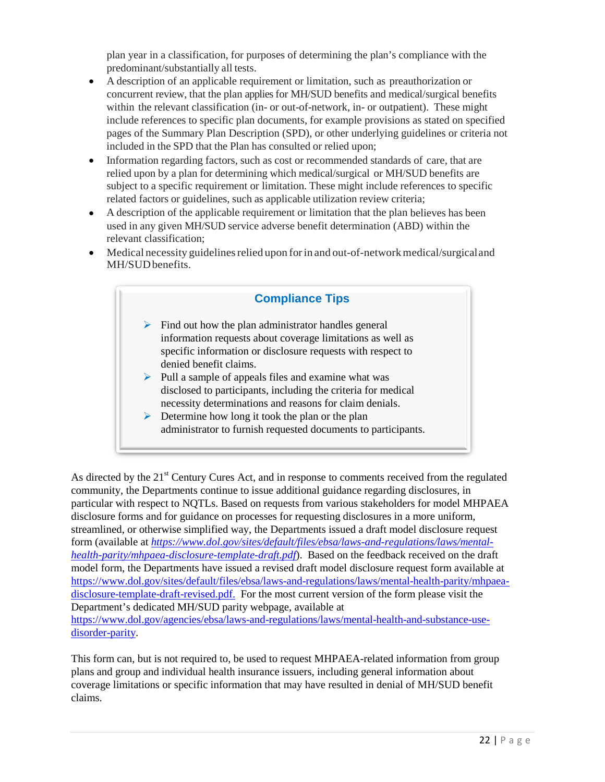plan year in a classification, for purposes of determining the plan's compliance with the predominant/substantially all tests.

- A description of an applicable requirement or limitation, such as preauthorization or concurrent review, that the plan applies for MH/SUD benefits and medical/surgical benefits within the relevant classification (in- or out-of-network, in- or outpatient). These might include references to specific plan documents, for example provisions as stated on specified pages of the Summary Plan Description (SPD), or other underlying guidelines or criteria not included in the SPD that the Plan has consulted or relied upon;
- Information regarding factors, such as cost or recommended standards of care, that are relied upon by a plan for determining which medical/surgical or MH/SUD benefits are subject to a specific requirement or limitation. These might include references to specific related factors or guidelines, such as applicable utilization review criteria;
- A description of the applicable requirement or limitation that the plan believes has been used in any given MH/SUD service adverse benefit determination (ABD) within the relevant classification;
- Medical necessity guidelines relied upon for in and out-of-network medical/surgical and MH/SUDbenefits.

# **Compliance Tips**  $\triangleright$  Find out how the plan administrator handles general information requests about coverage limitations as well as specific information or disclosure requests with respect to denied benefit claims.  $\triangleright$  Pull a sample of appeals files and examine what was disclosed to participants, including the criteria for medical necessity determinations and reasons for claim denials.  $\triangleright$  Determine how long it took the plan or the plan administrator to furnish requested documents to participants.

As directed by the 21<sup>st</sup> Century Cures Act, and in response to comments received from the regulated community, the Departments continue to issue additional guidance regarding disclosures, in particular with respect to NQTLs. Based on requests from various stakeholders for model MHPAEA disclosure forms and for guidance on processes for requesting disclosures in a more uniform, streamlined, or otherwise simplified way, the Departments issued a draft model disclosure request form (available at *[https://www.dol.gov/sites/default/files/ebsa/laws-and-regulations/laws/mental](https://www.dol.gov/sites/default/files/ebsa/laws-and-regulations/laws/mental-health-parity/mhpaea-disclosure-template-draft.pdf)[health-parity/mhpaea-disclosure-template-draft.pdf](https://www.dol.gov/sites/default/files/ebsa/laws-and-regulations/laws/mental-health-parity/mhpaea-disclosure-template-draft.pdf)*). Based on the feedback received on the draft model form, the Departments have issued a revised draft model disclosure request form available at [https://www.dol.gov/sites/default/files/ebsa/laws-and-regulations/laws/mental-health-parity/mhpaea](https://www.dol.gov/sites/default/files/ebsa/laws-and-regulations/laws/mental-health-parity/mhpaea-disclosure-template-draft-revised.pdf)[disclosure-template-draft-revised.pdf.](https://www.dol.gov/sites/default/files/ebsa/laws-and-regulations/laws/mental-health-parity/mhpaea-disclosure-template-draft-revised.pdf) For the most current version of the form please visit the Department's dedicated MH/SUD parity webpage, available at [https://www.dol.gov/agencies/ebsa/laws-and-regulations/laws/mental-health-and-substance-use](https://www.dol.gov/agencies/ebsa/laws-and-regulations/laws/mental-health-and-substance-use-disorder-parity)[disorder-parity.](https://www.dol.gov/agencies/ebsa/laws-and-regulations/laws/mental-health-and-substance-use-disorder-parity)

This form can, but is not required to, be used to request MHPAEA-related information from group plans and group and individual health insurance issuers, including general information about coverage limitations or specific information that may have resulted in denial of MH/SUD benefit claims.